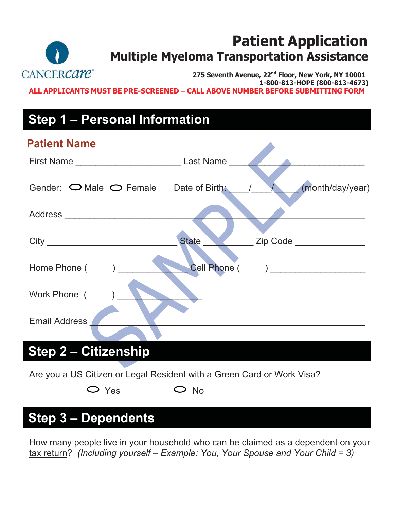

# **Patient Application Multiple Myeloma Transportation Assistance**<br>CANCERCare<sup>®</sup> 275 Seventh Avenue, 22<sup>nd</sup> Floor, New York, NY 10001

 **275 Seventh Avenue, 22nd Floor, New York, NY 10001 1-800-813-HOPE (800-813-4673)** 

**ALL APPLICANTS MUST BE PRE-SCREENED – CALL ABOVE NUMBER BEFORE SUBMITTING FORM**

# **Step 1 – Personal Information**

### **Patient Name**

| Gender: O Male O Female Date of Birth: /                               |         | (month/day/year)        |
|------------------------------------------------------------------------|---------|-------------------------|
| Address ____________________________                                   |         |                         |
|                                                                        | State _ | Zip Code ______________ |
| Home Phone () ______                                                   |         |                         |
| Work Phone (                                                           |         |                         |
| Email Address                                                          |         |                         |
| <b>Step 2 - Citizenship</b>                                            |         |                         |
| Are you a US Citizen or Legal Resident with a Green Card or Work Visa? |         |                         |
| $\bigcirc$ Yes                                                         | No      |                         |
| <b>Step 3 - Dependents</b>                                             |         |                         |

How many people live in your household who can be claimed as a dependent on your tax return? *(Including yourself – Example: You, Your Spouse and Your Child = 3)*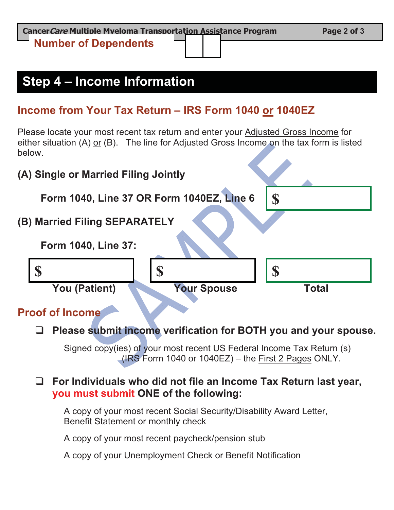# **Step 4 – Income Information**

# **Income from Your Tax Return – IRS Form 1040 or 1040EZ**

Please locate your most recent tax return and enter your Adjusted Gross Income for either situation (A) or (B). The line for Adjusted Gross Income on the tax form is listed below.



# □ Please submit income verification for BOTH you and your spouse.

 Signed copy(ies) of your most recent US Federal Income Tax Return (s)  $(IRS Form 1040 or 1040EZ) – the First 2 Pages ONLY.$ 

### □ For Individuals who did not file an Income Tax Return last year, **you must submit ONE of the following:**

 A copy of your most recent Social Security/Disability Award Letter, Benefit Statement or monthly check

A copy of your most recent paycheck/pension stub

A copy of your Unemployment Check or Benefit Notification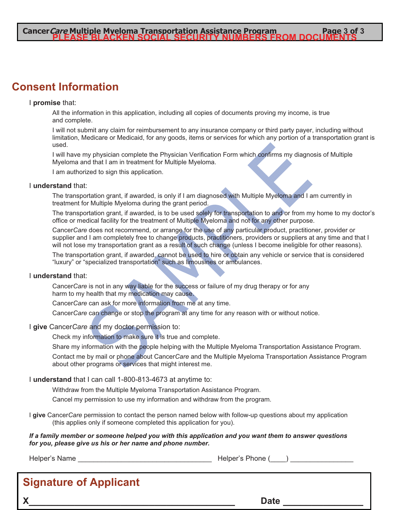#### **CancerCare Multiple Myeloma Transportation Assistance Program Page 3 of 3 PLEASE BLACKEN SOCIAL SECURITY NUMBERS FROM DOCUMENTS**

### **Consent Information**

#### I **promise** that:

 All the information in this application, including all copies of documents proving my income, is true and complete.

 I will not submit any claim for reimbursement to any insurance company or third party payer, including without limitation, Medicare or Medicaid, for any goods, items or services for which any portion of a transportation grant is used.

I will have my physician complete the Physician Verification Form which confirms my diagnosis of Multiple Myeloma and that I am in treatment for Multiple Myeloma.

I am authorized to sign this application.

#### I **understand** that:

 The transportation grant, if awarded, is only if I am diagnosed with Multiple Myeloma and I am currently in treatment for Multiple Myeloma during the grant period.

 The transportation grant, if awarded, is to be used solely for transportation to and or from my home to my doctor's office or medical facility for the treatment of Multiple Myeloma and not for any other purpose.

 Cancer*Care* does not recommend, or arrange for the use of any particular product, practitioner, provider or supplier and I am completely free to change products, practitioners, providers or suppliers at any time and that I will not lose my transportation grant as a result of such change (unless I become ineligible for other reasons).

The transportation grant, if awarded, cannot be used to hire or obtain any vehicle or service that is considered "luxury" or "specialized transportation" such as limousines or ambulances.

#### I **understand** that:

 Cancer*Care* is not in any way liable for the success or failure of my drug therapy or for any harm to my health that my medication may cause.

Cancer*Care* can ask for more information from me at any time.

Cancer*Care* can change or stop the program at any time for any reason with or without notice.

#### I **give** Cancer*Care* and my doctor permission to:

Check my information to make sure it is true and complete.

Share my information with the people helping with the Multiple Myeloma Transportation Assistance Program.

 Contact me by mail or phone about Cancer*Care* and the Multiple Myeloma Transportation Assistance Program about other programs or services that might interest me.

#### I **understand** that I can call 1-800-813-4673 at anytime to:

Withdraw from the Multiple Myeloma Transportation Assistance Program.

Cancel my permission to use my information and withdraw from the program.

I **give** Cancer*Care* permission to contact the person named below with follow-up questions about my application (this applies only if someone completed this application for you).

*If a family member or someone helped you with this application and you want them to answer questions for you, please give us his or her name and phone number.* 

Helper's Name **Example 2** and the Helper's Phone (2003)

# **Signature of Applicant X Date**  $\blacksquare$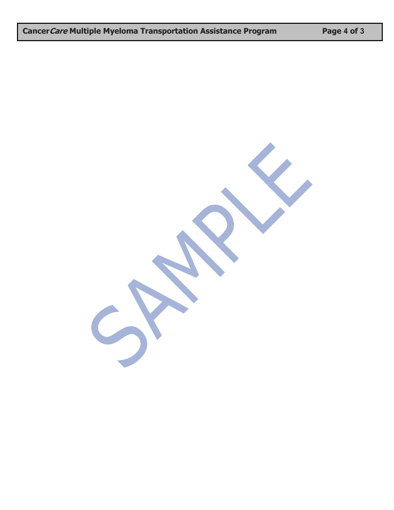### **CancerCare Multiple Myeloma Transportation Assistance Program Page 4 of 3**